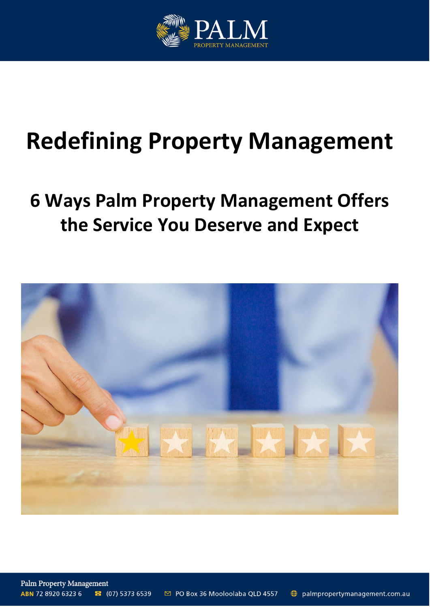

# **Redefining Property Management**

# **6 Ways Palm Property Management Offers the Service You Deserve and Expect**



**Palm Property Management** ABN 72 8920 6323 6 ⊠ PO Box 36 Mooloolaba QLD 4557  $\bullet$  (07) 5373 6539 palmpropertymanagement.com.au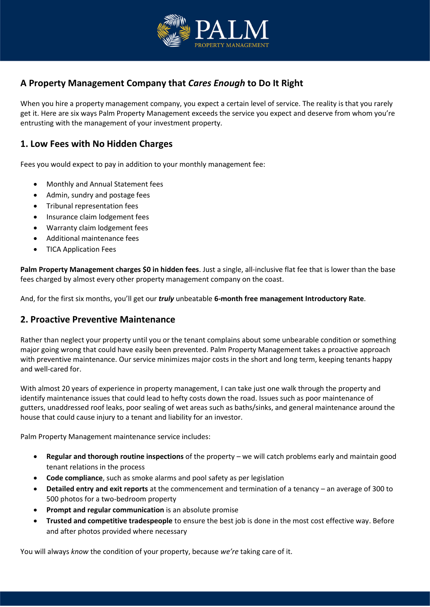

# **A Property Management Company that** *Cares Enough* **to Do It Right**

When you hire a property management company, you expect a certain level of service. The reality is that you rarely get it. Here are six ways Palm Property Management exceeds the service you expect and deserve from whom you're entrusting with the management of your investment property.

#### **1. Low Fees with No Hidden Charges**

Fees you would expect to pay in addition to your monthly management fee:

- Monthly and Annual Statement fees
- Admin, sundry and postage fees
- Tribunal representation fees
- Insurance claim lodgement fees
- Warranty claim lodgement fees
- Additional maintenance fees
- TICA Application Fees

**Palm Property Management charges \$0 in hidden fees**. Just a single, all-inclusive flat fee that is lower than the base fees charged by almost every other property management company on the coast.

And, for the first six months, you'll get our *truly* unbeatable **6-month free management Introductory Rate**.

#### **2. Proactive Preventive Maintenance**

Rather than neglect your property until you or the tenant complains about some unbearable condition or something major going wrong that could have easily been prevented. Palm Property Management takes a proactive approach with preventive maintenance. Our service minimizes major costs in the short and long term, keeping tenants happy and well-cared for.

With almost 20 years of experience in property management, I can take just one walk through the property and identify maintenance issues that could lead to hefty costs down the road. Issues such as poor maintenance of gutters, unaddressed roof leaks, poor sealing of wet areas such as baths/sinks, and general maintenance around the house that could cause injury to a tenant and liability for an investor.

Palm Property Management maintenance service includes:

- **Regular and thorough routine inspections** of the property we will catch problems early and maintain good tenant relations in the process
- **Code compliance**, such as smoke alarms and pool safety as per legislation
- **Detailed entry and exit reports** at the commencement and termination of a tenancy an average of 300 to 500 photos for a two-bedroom property
- **Prompt and regular communication** is an absolute promise
- **Trusted and competitive tradespeople** to ensure the best job is done in the most cost effective way. Before and after photos provided where necessary

You will always *know* the condition of your property, because *we're* taking care of it.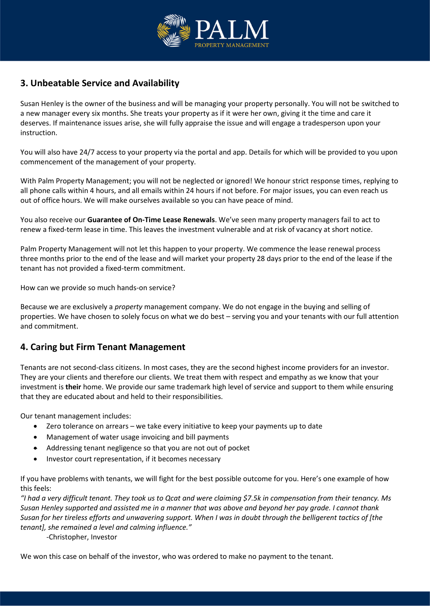

## **3. Unbeatable Service and Availability**

Susan Henley is the owner of the business and will be managing your property personally. You will not be switched to a new manager every six months. She treats your property as if it were her own, giving it the time and care it deserves. If maintenance issues arise, she will fully appraise the issue and will engage a tradesperson upon your instruction.

You will also have 24/7 access to your property via the portal and app. Details for which will be provided to you upon commencement of the management of your property.

With Palm Property Management; you will not be neglected or ignored! We honour strict response times, replying to all phone calls within 4 hours, and all emails within 24 hours if not before. For major issues, you can even reach us out of office hours. We will make ourselves available so you can have peace of mind.

You also receive our **Guarantee of On-Time Lease Renewals**. We've seen many property managers fail to act to renew a fixed-term lease in time. This leaves the investment vulnerable and at risk of vacancy at short notice.

Palm Property Management will not let this happen to your property. We commence the lease renewal process three months prior to the end of the lease and will market your property 28 days prior to the end of the lease if the tenant has not provided a fixed-term commitment.

How can we provide so much hands-on service?

Because we are exclusively a *property* management company. We do not engage in the buying and selling of properties. We have chosen to solely focus on what we do best – serving you and your tenants with our full attention and commitment.

#### **4. Caring but Firm Tenant Management**

Tenants are not second-class citizens. In most cases, they are the second highest income providers for an investor. They are your clients and therefore our clients. We treat them with respect and empathy as we know that your investment is **their** home. We provide our same trademark high level of service and support to them while ensuring that they are educated about and held to their responsibilities.

Our tenant management includes:

- Zero tolerance on arrears we take every initiative to keep your payments up to date
- Management of water usage invoicing and bill payments
- Addressing tenant negligence so that you are not out of pocket
- Investor court representation, if it becomes necessary

If you have problems with tenants, we will fight for the best possible outcome for you. Here's one example of how this feels:

*"I had a very difficult tenant. They took us to Qcat and were claiming \$7.5k in compensation from their tenancy. Ms Susan Henley supported and assisted me in a manner that was above and beyond her pay grade. I cannot thank Susan for her tireless efforts and unwavering support. When I was in doubt through the belligerent tactics of [the tenant], she remained a level and calming influence."*

-Christopher, Investor

We won this case on behalf of the investor, who was ordered to make no payment to the tenant.